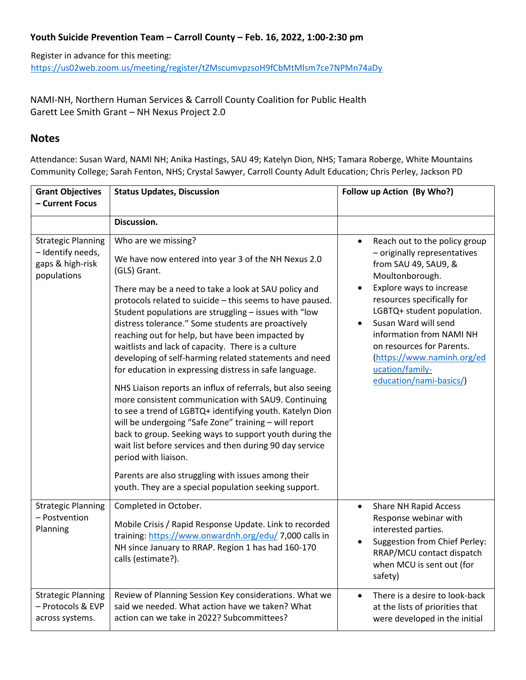## **Youth Suicide Prevention Team – Carroll County – Feb. 16, 2022, 1:00-2:30 pm**

Register in advance for this meeting: <https://us02web.zoom.us/meeting/register/tZMscumvpzsoH9fCbMtMlsm7ce7NPMn74aDy>

NAMI-NH, Northern Human Services & Carroll County Coalition for Public Health Garett Lee Smith Grant – NH Nexus Project 2.0

# **Notes**

Attendance: Susan Ward, NAMI NH; Anika Hastings, SAU 49; Katelyn Dion, NHS; Tamara Roberge, White Mountains Community College; Sarah Fenton, NHS; Crystal Sawyer, Carroll County Adult Education; Chris Perley, Jackson PD

| <b>Grant Objectives</b><br>- Current Focus                                        | <b>Status Updates, Discussion</b>                                                                                                                                                                                                                                                                                                                                                                                                                                                                                                                                                                                                                                                                                                                                                                                                                                                                                                                                                                                                                                      | Follow up Action (By Who?)                                                                                                                                                                                                                                                                                                                                                              |
|-----------------------------------------------------------------------------------|------------------------------------------------------------------------------------------------------------------------------------------------------------------------------------------------------------------------------------------------------------------------------------------------------------------------------------------------------------------------------------------------------------------------------------------------------------------------------------------------------------------------------------------------------------------------------------------------------------------------------------------------------------------------------------------------------------------------------------------------------------------------------------------------------------------------------------------------------------------------------------------------------------------------------------------------------------------------------------------------------------------------------------------------------------------------|-----------------------------------------------------------------------------------------------------------------------------------------------------------------------------------------------------------------------------------------------------------------------------------------------------------------------------------------------------------------------------------------|
|                                                                                   |                                                                                                                                                                                                                                                                                                                                                                                                                                                                                                                                                                                                                                                                                                                                                                                                                                                                                                                                                                                                                                                                        |                                                                                                                                                                                                                                                                                                                                                                                         |
|                                                                                   | Discussion.                                                                                                                                                                                                                                                                                                                                                                                                                                                                                                                                                                                                                                                                                                                                                                                                                                                                                                                                                                                                                                                            |                                                                                                                                                                                                                                                                                                                                                                                         |
| <b>Strategic Planning</b><br>- Identify needs,<br>gaps & high-risk<br>populations | Who are we missing?<br>We have now entered into year 3 of the NH Nexus 2.0<br>(GLS) Grant.<br>There may be a need to take a look at SAU policy and<br>protocols related to suicide - this seems to have paused.<br>Student populations are struggling - issues with "low<br>distress tolerance." Some students are proactively<br>reaching out for help, but have been impacted by<br>waitlists and lack of capacity. There is a culture<br>developing of self-harming related statements and need<br>for education in expressing distress in safe language.<br>NHS Liaison reports an influx of referrals, but also seeing<br>more consistent communication with SAU9. Continuing<br>to see a trend of LGBTQ+ identifying youth. Katelyn Dion<br>will be undergoing "Safe Zone" training - will report<br>back to group. Seeking ways to support youth during the<br>wait list before services and then during 90 day service<br>period with liaison.<br>Parents are also struggling with issues among their<br>youth. They are a special population seeking support. | Reach out to the policy group<br>$\bullet$<br>- originally representatives<br>from SAU 49, SAU9, &<br>Moultonborough.<br>Explore ways to increase<br>$\bullet$<br>resources specifically for<br>LGBTQ+ student population.<br>Susan Ward will send<br>information from NAMI NH<br>on resources for Parents.<br>(https://www.naminh.org/ed<br>ucation/family-<br>education/nami-basics/) |
| <b>Strategic Planning</b><br>- Postvention<br>Planning                            | Completed in October.<br>Mobile Crisis / Rapid Response Update. Link to recorded<br>training: https://www.onwardnh.org/edu/ 7,000 calls in<br>NH since January to RRAP. Region 1 has had 160-170<br>calls (estimate?).                                                                                                                                                                                                                                                                                                                                                                                                                                                                                                                                                                                                                                                                                                                                                                                                                                                 | <b>Share NH Rapid Access</b><br>$\bullet$<br>Response webinar with<br>interested parties.<br>Suggestion from Chief Perley:<br>RRAP/MCU contact dispatch<br>when MCU is sent out (for<br>safety)                                                                                                                                                                                         |
| <b>Strategic Planning</b><br>- Protocols & EVP<br>across systems.                 | Review of Planning Session Key considerations. What we<br>said we needed. What action have we taken? What<br>action can we take in 2022? Subcommittees?                                                                                                                                                                                                                                                                                                                                                                                                                                                                                                                                                                                                                                                                                                                                                                                                                                                                                                                | There is a desire to look-back<br>$\bullet$<br>at the lists of priorities that<br>were developed in the initial                                                                                                                                                                                                                                                                         |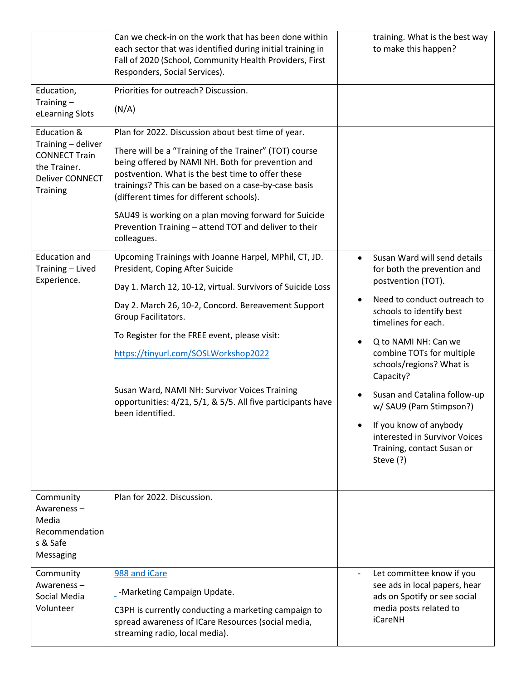|                                                                                                          | Can we check-in on the work that has been done within<br>each sector that was identified during initial training in<br>Fall of 2020 (School, Community Health Providers, First<br>Responders, Social Services).                                                                                                                                                                                                                                             | training. What is the best way<br>to make this happen?                                                                                 |
|----------------------------------------------------------------------------------------------------------|-------------------------------------------------------------------------------------------------------------------------------------------------------------------------------------------------------------------------------------------------------------------------------------------------------------------------------------------------------------------------------------------------------------------------------------------------------------|----------------------------------------------------------------------------------------------------------------------------------------|
| Education,                                                                                               | Priorities for outreach? Discussion.                                                                                                                                                                                                                                                                                                                                                                                                                        |                                                                                                                                        |
| Training $-$<br>eLearning Slots                                                                          | (N/A)                                                                                                                                                                                                                                                                                                                                                                                                                                                       |                                                                                                                                        |
| Education &<br>Training - deliver<br><b>CONNECT Train</b><br>the Trainer.<br>Deliver CONNECT<br>Training | Plan for 2022. Discussion about best time of year.<br>There will be a "Training of the Trainer" (TOT) course<br>being offered by NAMI NH. Both for prevention and<br>postvention. What is the best time to offer these<br>trainings? This can be based on a case-by-case basis<br>(different times for different schools).<br>SAU49 is working on a plan moving forward for Suicide<br>Prevention Training - attend TOT and deliver to their<br>colleagues. |                                                                                                                                        |
| <b>Education and</b><br>Training - Lived<br>Experience.                                                  | Upcoming Trainings with Joanne Harpel, MPhil, CT, JD.<br>President, Coping After Suicide                                                                                                                                                                                                                                                                                                                                                                    | Susan Ward will send details<br>for both the prevention and<br>postvention (TOT).                                                      |
|                                                                                                          | Day 1. March 12, 10-12, virtual. Survivors of Suicide Loss                                                                                                                                                                                                                                                                                                                                                                                                  | Need to conduct outreach to                                                                                                            |
|                                                                                                          | Day 2. March 26, 10-2, Concord. Bereavement Support<br>Group Facilitators.                                                                                                                                                                                                                                                                                                                                                                                  | schools to identify best<br>timelines for each.                                                                                        |
|                                                                                                          | To Register for the FREE event, please visit:                                                                                                                                                                                                                                                                                                                                                                                                               | Q to NAMI NH: Can we                                                                                                                   |
|                                                                                                          | https://tinyurl.com/SOSLWorkshop2022                                                                                                                                                                                                                                                                                                                                                                                                                        | combine TOTs for multiple<br>schools/regions? What is<br>Capacity?                                                                     |
|                                                                                                          | Susan Ward, NAMI NH: Survivor Voices Training<br>opportunities: 4/21, 5/1, & 5/5. All five participants have<br>been identified.                                                                                                                                                                                                                                                                                                                            | Susan and Catalina follow-up<br>w/ SAU9 (Pam Stimpson?)                                                                                |
|                                                                                                          |                                                                                                                                                                                                                                                                                                                                                                                                                                                             | If you know of anybody<br>interested in Survivor Voices<br>Training, contact Susan or<br>Steve (?)                                     |
| Community<br>Awareness-<br>Media<br>Recommendation<br>s & Safe<br>Messaging                              | Plan for 2022. Discussion.                                                                                                                                                                                                                                                                                                                                                                                                                                  |                                                                                                                                        |
| Community<br>Awareness-<br>Social Media<br>Volunteer                                                     | 988 and iCare<br>-Marketing Campaign Update.<br>C3PH is currently conducting a marketing campaign to<br>spread awareness of ICare Resources (social media,<br>streaming radio, local media).                                                                                                                                                                                                                                                                | Let committee know if you<br>see ads in local papers, hear<br>ads on Spotify or see social<br>media posts related to<br><b>iCareNH</b> |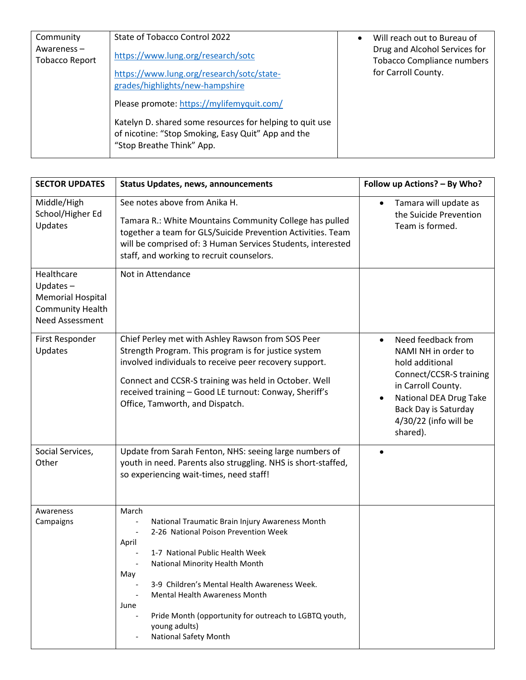| Community                              | State of Tobacco Control 2022                                                                                                                                                            | Will reach out to Bureau of                                                               |
|----------------------------------------|------------------------------------------------------------------------------------------------------------------------------------------------------------------------------------------|-------------------------------------------------------------------------------------------|
| Awareness $-$<br><b>Tobacco Report</b> | https://www.lung.org/research/sotc<br>https://www.lung.org/research/sotc/state-<br>grades/highlights/new-hampshire                                                                       | Drug and Alcohol Services for<br><b>Tobacco Compliance numbers</b><br>for Carroll County. |
|                                        | Please promote: https://mylifemyquit.com/<br>Katelyn D. shared some resources for helping to quit use<br>of nicotine: "Stop Smoking, Easy Quit" App and the<br>"Stop Breathe Think" App. |                                                                                           |

| <b>SECTOR UPDATES</b>                                                                        | <b>Status Updates, news, announcements</b>                                                                                                                                                                                                                                                                                                                                                      | Follow up Actions? - By Who?                                                                                                                                                                                             |
|----------------------------------------------------------------------------------------------|-------------------------------------------------------------------------------------------------------------------------------------------------------------------------------------------------------------------------------------------------------------------------------------------------------------------------------------------------------------------------------------------------|--------------------------------------------------------------------------------------------------------------------------------------------------------------------------------------------------------------------------|
| Middle/High<br>School/Higher Ed<br>Updates                                                   | See notes above from Anika H.<br>Tamara R.: White Mountains Community College has pulled<br>together a team for GLS/Suicide Prevention Activities. Team<br>will be comprised of: 3 Human Services Students, interested<br>staff, and working to recruit counselors.                                                                                                                             | Tamara will update as<br>$\bullet$<br>the Suicide Prevention<br>Team is formed.                                                                                                                                          |
| Healthcare<br>Updates $-$<br>Memorial Hospital<br><b>Community Health</b><br>Need Assessment | Not in Attendance                                                                                                                                                                                                                                                                                                                                                                               |                                                                                                                                                                                                                          |
| First Responder<br>Updates                                                                   | Chief Perley met with Ashley Rawson from SOS Peer<br>Strength Program. This program is for justice system<br>involved individuals to receive peer recovery support.<br>Connect and CCSR-S training was held in October. Well<br>received training - Good LE turnout: Conway, Sheriff's<br>Office, Tamworth, and Dispatch.                                                                       | Need feedback from<br>$\bullet$<br>NAMI NH in order to<br>hold additional<br>Connect/CCSR-S training<br>in Carroll County.<br>National DEA Drug Take<br><b>Back Day is Saturday</b><br>4/30/22 (info will be<br>shared). |
| Social Services,<br>Other                                                                    | Update from Sarah Fenton, NHS: seeing large numbers of<br>youth in need. Parents also struggling. NHS is short-staffed,<br>so experiencing wait-times, need staff!                                                                                                                                                                                                                              | $\bullet$                                                                                                                                                                                                                |
| Awareness<br>Campaigns                                                                       | March<br>National Traumatic Brain Injury Awareness Month<br>2-26 National Poison Prevention Week<br>April<br>1-7 National Public Health Week<br>National Minority Health Month<br>May<br>3-9 Children's Mental Health Awareness Week.<br><b>Mental Health Awareness Month</b><br>June<br>Pride Month (opportunity for outreach to LGBTQ youth,<br>young adults)<br><b>National Safety Month</b> |                                                                                                                                                                                                                          |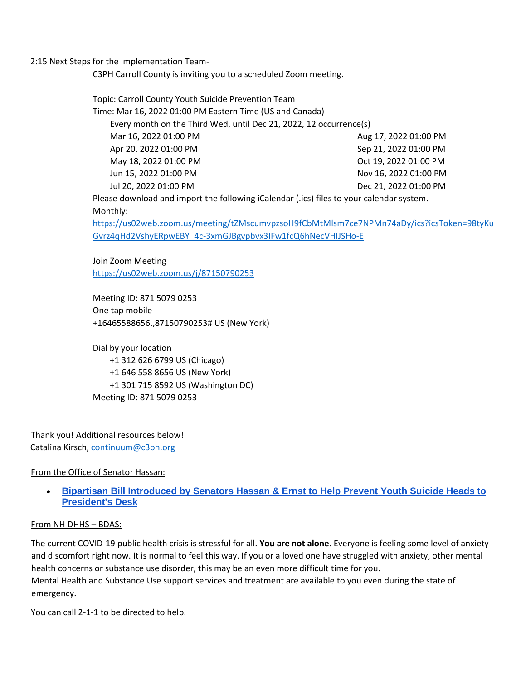2:15 Next Steps for the Implementation Team-

C3PH Carroll County is inviting you to a scheduled Zoom meeting.

Topic: Carroll County Youth Suicide Prevention Team Time: Mar 16, 2022 01:00 PM Eastern Time (US and Canada) Every month on the Third Wed, until Dec 21, 2022, 12 occurrence(s) Mar 16, 2022 01:00 PM Apr 20, 2022 01:00 PM May 18, 2022 01:00 PM Jun 15, 2022 01:00 PM Jul 20, 2022 01:00 PM Aug 17, 2022 01:00 PM Sep 21, 2022 01:00 PM Oct 19, 2022 01:00 PM Nov 16, 2022 01:00 PM Dec 21, 2022 01:00 PM Please download and import the following iCalendar (.ics) files to your calendar system. Monthly:

[https://us02web.zoom.us/meeting/tZMscumvpzsoH9fCbMtMlsm7ce7NPMn74aDy/ics?icsToken=98tyKu](https://us02web.zoom.us/meeting/tZMscumvpzsoH9fCbMtMlsm7ce7NPMn74aDy/ics?icsToken=98tyKuGvrz4qHd2VshyERpwEBY_4c-3xmGJBgvpbvx3IFw1fcQ6hNecVHIJSHo-E) [Gvrz4qHd2VshyERpwEBY\\_4c-3xmGJBgvpbvx3IFw1fcQ6hNecVHIJSHo-E](https://us02web.zoom.us/meeting/tZMscumvpzsoH9fCbMtMlsm7ce7NPMn74aDy/ics?icsToken=98tyKuGvrz4qHd2VshyERpwEBY_4c-3xmGJBgvpbvx3IFw1fcQ6hNecVHIJSHo-E)

Join Zoom Meeting <https://us02web.zoom.us/j/87150790253>

Meeting ID: 871 5079 0253 One tap mobile +16465588656,,87150790253# US (New York)

Dial by your location +1 312 626 6799 US (Chicago) +1 646 558 8656 US (New York) +1 301 715 8592 US (Washington DC) Meeting ID: 871 5079 0253

Thank you! Additional resources below! Catalina Kirsch, continuum@c3ph.org

### From the Office of Senator Hassan:

• **[Bipartisan Bill Introduced by Senators Hassan & Ernst to Help Prevent Youth Suicide Heads to](https://www.hassan.senate.gov/news/press-releases/bipartisan-bill-introduced-by-senators-hassan-and-ernst-to-help-prevent-youth-suicide-heads-to-presidents-desk)  [President's Desk](https://www.hassan.senate.gov/news/press-releases/bipartisan-bill-introduced-by-senators-hassan-and-ernst-to-help-prevent-youth-suicide-heads-to-presidents-desk)**

#### From NH DHHS – BDAS:

The current COVID-19 public health crisis is stressful for all. **You are not alone**. Everyone is feeling some level of anxiety and discomfort right now. It is normal to feel this way. If you or a loved one have struggled with anxiety, other mental health concerns or substance use disorder, this may be an even more difficult time for you. Mental Health and Substance Use support services and treatment are available to you even during the state of emergency.

You can call 2-1-1 to be directed to help.